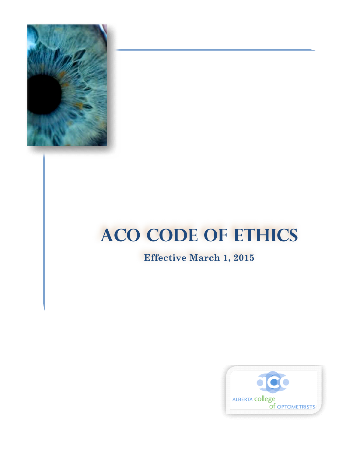

## **ACO CODE OF ETHICS**

## **Effective March 1, 2015**